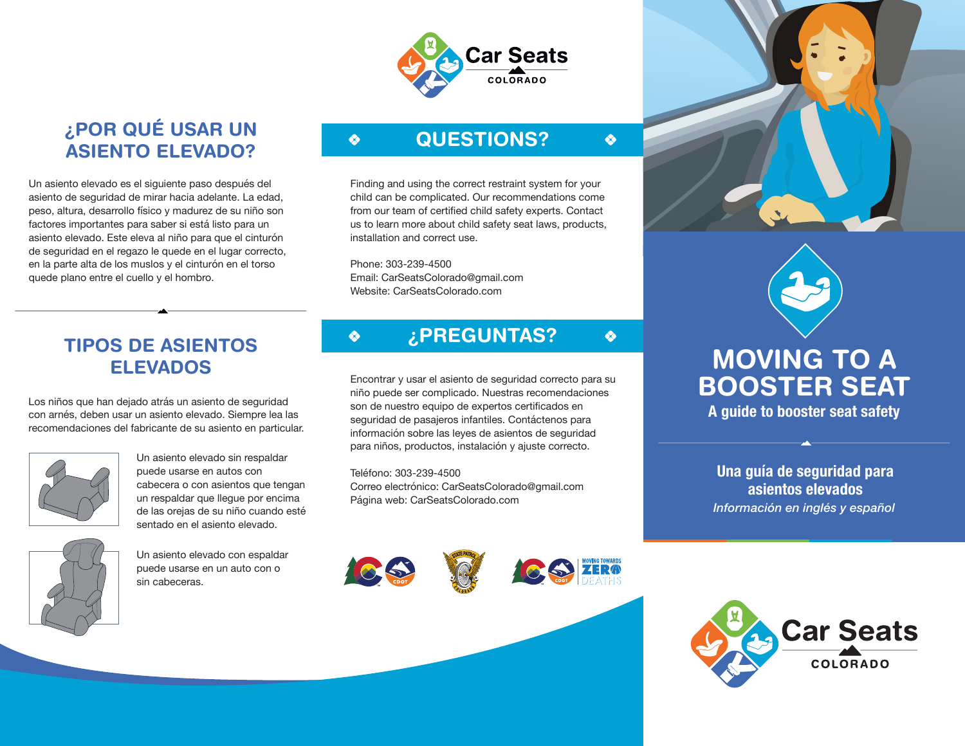

### **¿POR QUÉ USAR UN ASIENTO ELEVADO?**

Un asiento elevado es el siguiente paso después del asiento de seguridad de mirar hacia adelante. La edad, peso, altura, desarrollo físico y madurez de su niño son factores importantes para saber si está listo para un asiento elevado. Este eleva al niño para que el cinturón de seguridad en el regazo le quede en el lugar correcto, en la parte alta de los muslos y el cinturón en el torso quede plano entre el cuello y el hombro.

# **QUESTIONS?**

Finding and using the correct restraint system for your child can be complicated. Our recommendations come from our team of certified child safety experts. Contact us to learn more about child safety seat laws, products, installation and correct use.

Phone: 303-239-4500 Email: CarSeatsColorado@gmail.com Website: CarSeatsColorado.com

 $\clubsuit$ 

♦

### **TIPOS DE ASIENTOS ELEVADOS**

Los niños que han dejado atrás un asiento de seguridad con arnés, deben usar un asiento elevado. Siempre lea las recomendaciones del fabricante de su asiento en particular.



Un asiento elevado sin respaldar puede usarse en autos con cabecera o con asientos que tengan un respaldar que llegue por encima de las orejas de su niño cuando esté sentado en el asiento elevado.



Un asiento elevado con espaldar puede usarse en un auto con o sin cabeceras.

# **¿PREGUNTAS?**

Encontrar y usar el asiento de seguridad correcto para su niño puede ser complicado. Nuestras recomendaciones son de nuestro equipo de expertos certificados en seguridad de pasajeros infantiles. Contáctenos para información sobre las leyes de asientos de seguridad para niños, productos, instalación y ajuste correcto.

Teléfono: 303-239-4500 Correo electrónico: CarSeatsColorado@gmail.com





 $\clubsuit$ 

 $\bullet$ 



# **MOVING TO A BOOSTER SEAT**

**A guide to booster seat safety**

Página web: CarSeatsColorado.com *Información en inglés y español* **Una guía de seguridad para asientos elevados**